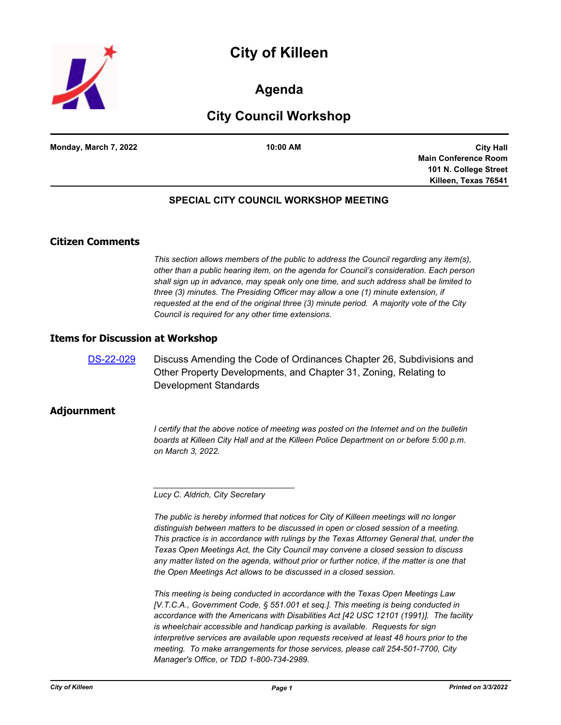



## **Agenda**

# **City Council Workshop**

**Monday, March 7, 2022 10:00 AM**

**City Hall Main Conference Room 101 N. College Street Killeen, Texas 76541**

### **SPECIAL CITY COUNCIL WORKSHOP MEETING**

### **Citizen Comments**

*This section allows members of the public to address the Council regarding any item(s), other than a public hearing item, on the agenda for Council's consideration. Each person shall sign up in advance, may speak only one time, and such address shall be limited to three (3) minutes. The Presiding Officer may allow a one (1) minute extension, if requested at the end of the original three (3) minute period. A majority vote of the City Council is required for any other time extensions.*

#### **Items for Discussion at Workshop**

[DS-22-029](http://killeen.legistar.com/gateway.aspx?m=l&id=/matter.aspx?key=6026) Discuss Amending the Code of Ordinances Chapter 26, Subdivisions and Other Property Developments, and Chapter 31, Zoning, Relating to Development Standards

#### **Adjournment**

*I* certify that the above notice of meeting was posted on the Internet and on the bulletin *boards at Killeen City Hall and at the Killeen Police Department on or before 5:00 p.m. on March 3, 2022.*

*Lucy C. Aldrich, City Secretary* 

*\_\_\_\_\_\_\_\_\_\_\_\_\_\_\_\_\_\_\_\_\_\_\_\_\_\_\_\_\_\_\_*

*The public is hereby informed that notices for City of Killeen meetings will no longer distinguish between matters to be discussed in open or closed session of a meeting. This practice is in accordance with rulings by the Texas Attorney General that, under the Texas Open Meetings Act, the City Council may convene a closed session to discuss*  any matter listed on the agenda, without prior or further notice, if the matter is one that *the Open Meetings Act allows to be discussed in a closed session.*

*This meeting is being conducted in accordance with the Texas Open Meetings Law [V.T.C.A., Government Code, § 551.001 et seq.]. This meeting is being conducted in accordance with the Americans with Disabilities Act [42 USC 12101 (1991)]. The facility is wheelchair accessible and handicap parking is available. Requests for sign interpretive services are available upon requests received at least 48 hours prior to the meeting. To make arrangements for those services, please call 254-501-7700, City Manager's Office, or TDD 1-800-734-2989.*